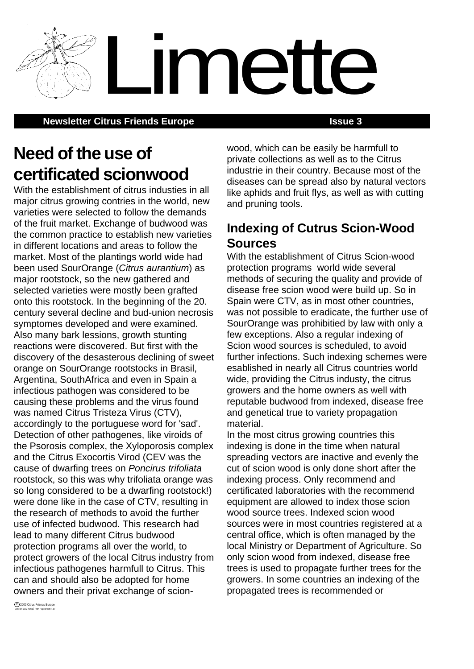**Newsletter Citrus Friends Europe <b>ISSUE 3 ISSUE 3** 

# **Need of the use of certificated scionwood**

With the establishment of citrus industies in all major citrus growing contries in the world, new varieties were selected to follow the demands of the fruit market. Exchange of budwood was the common practice to establish new varieties in different locations and areas to follow the market. Most of the plantings world wide had been used SourOrange (Citrus aurantium) as major rootstock, so the new gathered and selected varieties were mostly been grafted onto this rootstock. In the beginning of the 20. century several decline and bud-union necrosis symptomes developed and were examined. Also many bark lessions, growth stunting reactions were discovered. But first with the discovery of the desasterous declining of sweet orange on SourOrange rootstocks in Brasil, Argentina, SouthAfrica and even in Spain a infectious pathogen was considered to be causing these problems and the virus found was named Citrus Tristeza Virus (CTV), accordingly to the portuguese word for 'sad'. Detection of other pathogenes, like viroids of the Psorosis complex, the Xyloporosis complex and the Citrus Exocortis Virod (CEV was the cause of dwarfing trees on Poncirus trifoliata rootstock, so this was why trifoliata orange was so long considered to be a dwarfing rootstock!) were done like in the case of CTV, resulting in the research of methods to avoid the further use of infected budwood. This research had lead to many different Citrus budwood protection programs all over the world, to protect growers of the local Citrus industry from infectious pathogenes harmfull to Citrus. This can and should also be adopted for home owners and their privat exchange of scionwood, which can be easily be harmfull to private collections as well as to the Citrus industrie in their country. Because most of the diseases can be spread also by natural vectors like aphids and fruit flys, as well as with cutting and pruning tools.

Limette

# **Indexing of Cutrus Scion-Wood Sources**

With the establishment of Citrus Scion-wood protection programs world wide several methods of securing the quality and provide of disease free scion wood were build up. So in Spain were CTV, as in most other countries, was not possible to eradicate, the further use of SourOrange was prohibitied by law with only a few exceptions. Also a regular indexing of Scion wood sources is scheduled, to avoid further infections. Such indexing schemes were esablished in nearly all Citrus countries world wide, providing the Citrus industy, the citrus growers and the home owners as well with reputable budwood from indexed, disease free and genetical true to variety propagation material.

In the most citrus growing countries this indexing is done in the time when natural spreading vectors are inactive and evenly the cut of scion wood is only done short after the indexing process. Only recommend and certificated laboratories with the recommend equipment are allowed to index those scion wood source trees. Indexed scion wood sources were in most countries registered at a central office, which is often managed by the local Ministry or Department of Agriculture. So only scion wood from indexed, disease free trees is used to propagate further trees for the growers. In some countries an indexing of the propagated trees is recommended or